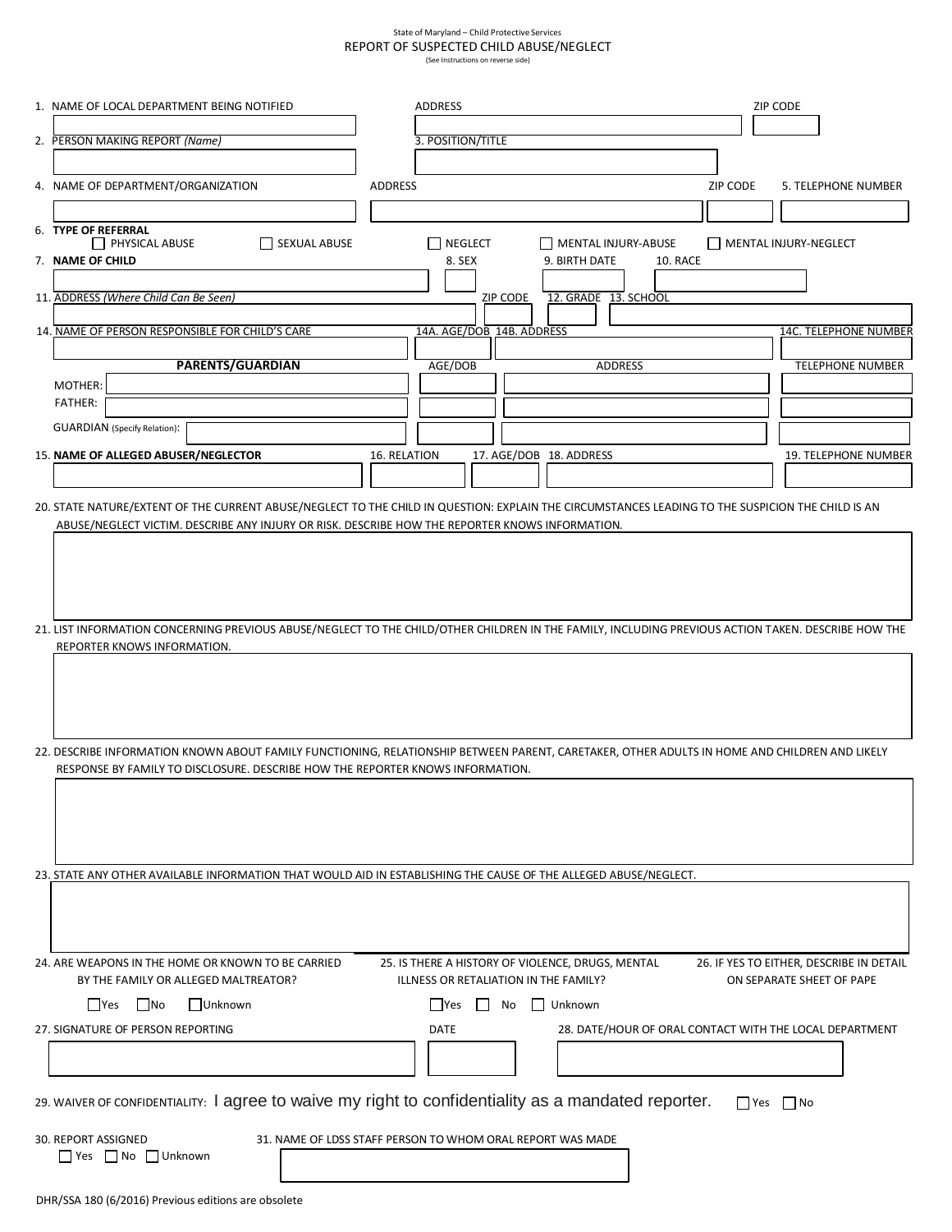## State of Maryland – Child Protective Services REPORT OF SUSPECTED CHILD ABUSE/NEGLECT (See Instructions on reverse side)

| 1. NAME OF LOCAL DEPARTMENT BEING NOTIFIED                                                                                                                                                                                                           |                | <b>ADDRESS</b>            |                |                                                   |                                                         |          | ZIP CODE                  |                                          |  |
|------------------------------------------------------------------------------------------------------------------------------------------------------------------------------------------------------------------------------------------------------|----------------|---------------------------|----------------|---------------------------------------------------|---------------------------------------------------------|----------|---------------------------|------------------------------------------|--|
|                                                                                                                                                                                                                                                      |                |                           |                |                                                   |                                                         |          |                           |                                          |  |
| 2. PERSON MAKING REPORT (Name)                                                                                                                                                                                                                       |                | 3. POSITION/TITLE         |                |                                                   |                                                         |          |                           |                                          |  |
|                                                                                                                                                                                                                                                      |                |                           |                |                                                   |                                                         |          |                           |                                          |  |
| 4. NAME OF DEPARTMENT/ORGANIZATION                                                                                                                                                                                                                   | <b>ADDRESS</b> |                           |                |                                                   |                                                         | ZIP CODE |                           | 5. TELEPHONE NUMBER                      |  |
|                                                                                                                                                                                                                                                      |                |                           |                |                                                   |                                                         |          |                           |                                          |  |
| 6. TYPE OF REFERRAL<br>$\Box$ PHYSICAL ABUSE<br>SEXUAL ABUSE                                                                                                                                                                                         |                | <b>NEGLECT</b>            |                | MENTAL INJURY-ABUSE                               |                                                         |          | MENTAL INJURY-NEGLECT     |                                          |  |
| 7. NAME OF CHILD                                                                                                                                                                                                                                     |                | 8. SEX                    |                | 9. BIRTH DATE                                     | 10. RACE                                                |          |                           |                                          |  |
|                                                                                                                                                                                                                                                      |                |                           |                |                                                   |                                                         |          |                           |                                          |  |
| 11. ADDRESS (Where Child Can Be Seen)                                                                                                                                                                                                                |                |                           | ZIP CODE       | 12. GRADE 13. SCHOOL                              |                                                         |          |                           |                                          |  |
| 14. NAME OF PERSON RESPONSIBLE FOR CHILD'S CARE                                                                                                                                                                                                      |                | 14A. AGE/DOB 14B. ADDRESS |                |                                                   |                                                         |          |                           | <b>14C. TELEPHONE NUMBER</b>             |  |
|                                                                                                                                                                                                                                                      |                |                           |                |                                                   |                                                         |          |                           |                                          |  |
| <b>PARENTS/GUARDIAN</b>                                                                                                                                                                                                                              |                | AGE/DOB                   |                |                                                   | <b>ADDRESS</b>                                          |          |                           | <b>TELEPHONE NUMBER</b>                  |  |
| MOTHER:                                                                                                                                                                                                                                              |                |                           |                |                                                   |                                                         |          |                           |                                          |  |
| <b>FATHER:</b>                                                                                                                                                                                                                                       |                |                           |                |                                                   |                                                         |          |                           |                                          |  |
| <b>GUARDIAN</b> (Specify Relation):                                                                                                                                                                                                                  |                |                           |                |                                                   |                                                         |          |                           |                                          |  |
| 15. NAME OF ALLEGED ABUSER/NEGLECTOR                                                                                                                                                                                                                 | 16. RELATION   |                           |                | 17. AGE/DOB 18. ADDRESS                           |                                                         |          |                           | 19. TELEPHONE NUMBER                     |  |
|                                                                                                                                                                                                                                                      |                |                           |                |                                                   |                                                         |          |                           |                                          |  |
|                                                                                                                                                                                                                                                      |                |                           |                |                                                   |                                                         |          |                           |                                          |  |
| 20. STATE NATURE/EXTENT OF THE CURRENT ABUSE/NEGLECT TO THE CHILD IN QUESTION: EXPLAIN THE CIRCUMSTANCES LEADING TO THE SUSPICION THE CHILD IS AN<br>ABUSE/NEGLECT VICTIM. DESCRIBE ANY INJURY OR RISK. DESCRIBE HOW THE REPORTER KNOWS INFORMATION. |                |                           |                |                                                   |                                                         |          |                           |                                          |  |
|                                                                                                                                                                                                                                                      |                |                           |                |                                                   |                                                         |          |                           |                                          |  |
|                                                                                                                                                                                                                                                      |                |                           |                |                                                   |                                                         |          |                           |                                          |  |
|                                                                                                                                                                                                                                                      |                |                           |                |                                                   |                                                         |          |                           |                                          |  |
|                                                                                                                                                                                                                                                      |                |                           |                |                                                   |                                                         |          |                           |                                          |  |
| 21. LIST INFORMATION CONCERNING PREVIOUS ABUSE/NEGLECT TO THE CHILD/OTHER CHILDREN IN THE FAMILY, INCLUDING PREVIOUS ACTION TAKEN. DESCRIBE HOW THE                                                                                                  |                |                           |                |                                                   |                                                         |          |                           |                                          |  |
| REPORTER KNOWS INFORMATION.                                                                                                                                                                                                                          |                |                           |                |                                                   |                                                         |          |                           |                                          |  |
|                                                                                                                                                                                                                                                      |                |                           |                |                                                   |                                                         |          |                           |                                          |  |
|                                                                                                                                                                                                                                                      |                |                           |                |                                                   |                                                         |          |                           |                                          |  |
|                                                                                                                                                                                                                                                      |                |                           |                |                                                   |                                                         |          |                           |                                          |  |
|                                                                                                                                                                                                                                                      |                |                           |                |                                                   |                                                         |          |                           |                                          |  |
| 22. DESCRIBE INFORMATION KNOWN ABOUT FAMILY FUNCTIONING, RELATIONSHIP BETWEEN PARENT, CARETAKER, OTHER ADULTS IN HOME AND CHILDREN AND LIKELY                                                                                                        |                |                           |                |                                                   |                                                         |          |                           |                                          |  |
| RESPONSE BY FAMILY TO DISCLOSURE. DESCRIBE HOW THE REPORTER KNOWS INFORMATION.                                                                                                                                                                       |                |                           |                |                                                   |                                                         |          |                           |                                          |  |
|                                                                                                                                                                                                                                                      |                |                           |                |                                                   |                                                         |          |                           |                                          |  |
|                                                                                                                                                                                                                                                      |                |                           |                |                                                   |                                                         |          |                           |                                          |  |
|                                                                                                                                                                                                                                                      |                |                           |                |                                                   |                                                         |          |                           |                                          |  |
|                                                                                                                                                                                                                                                      |                |                           |                |                                                   |                                                         |          |                           |                                          |  |
| 23. STATE ANY OTHER AVAILABLE INFORMATION THAT WOULD AID IN ESTABLISHING THE CAUSE OF THE ALLEGED ABUSE/NEGLECT.                                                                                                                                     |                |                           |                |                                                   |                                                         |          |                           |                                          |  |
|                                                                                                                                                                                                                                                      |                |                           |                |                                                   |                                                         |          |                           |                                          |  |
|                                                                                                                                                                                                                                                      |                |                           |                |                                                   |                                                         |          |                           |                                          |  |
|                                                                                                                                                                                                                                                      |                |                           |                |                                                   |                                                         |          |                           |                                          |  |
| 24. ARE WEAPONS IN THE HOME OR KNOWN TO BE CARRIED                                                                                                                                                                                                   |                |                           |                | 25. IS THERE A HISTORY OF VIOLENCE, DRUGS, MENTAL |                                                         |          |                           | 26. IF YES TO EITHER, DESCRIBE IN DETAIL |  |
| BY THE FAMILY OR ALLEGED MALTREATOR?                                                                                                                                                                                                                 |                |                           |                | ILLNESS OR RETALIATION IN THE FAMILY?             |                                                         |          | ON SEPARATE SHEET OF PAPE |                                          |  |
| Γ   Yes<br>l INo<br>Unknown                                                                                                                                                                                                                          |                | ΓlYes                     | N <sub>o</sub> | Unknown                                           |                                                         |          |                           |                                          |  |
| 27. SIGNATURE OF PERSON REPORTING                                                                                                                                                                                                                    |                | <b>DATE</b>               |                |                                                   | 28. DATE/HOUR OF ORAL CONTACT WITH THE LOCAL DEPARTMENT |          |                           |                                          |  |
|                                                                                                                                                                                                                                                      |                |                           |                |                                                   |                                                         |          |                           |                                          |  |
|                                                                                                                                                                                                                                                      |                |                           |                |                                                   |                                                         |          |                           |                                          |  |
|                                                                                                                                                                                                                                                      |                |                           |                |                                                   |                                                         |          |                           |                                          |  |
| 29. WAIVER OF CONFIDENTIALITY: I agree to waive my right to confidentiality as a mandated reporter.                                                                                                                                                  |                |                           |                |                                                   |                                                         |          | $\Box$ Yes $\Box$ No      |                                          |  |
|                                                                                                                                                                                                                                                      |                |                           |                |                                                   |                                                         |          |                           |                                          |  |
| 30. REPORT ASSIGNED<br>31. NAME OF LDSS STAFF PERSON TO WHOM ORAL REPORT WAS MADE                                                                                                                                                                    |                |                           |                |                                                   |                                                         |          |                           |                                          |  |
| Ses No Unknown                                                                                                                                                                                                                                       |                |                           |                |                                                   |                                                         |          |                           |                                          |  |
|                                                                                                                                                                                                                                                      |                |                           |                |                                                   |                                                         |          |                           |                                          |  |